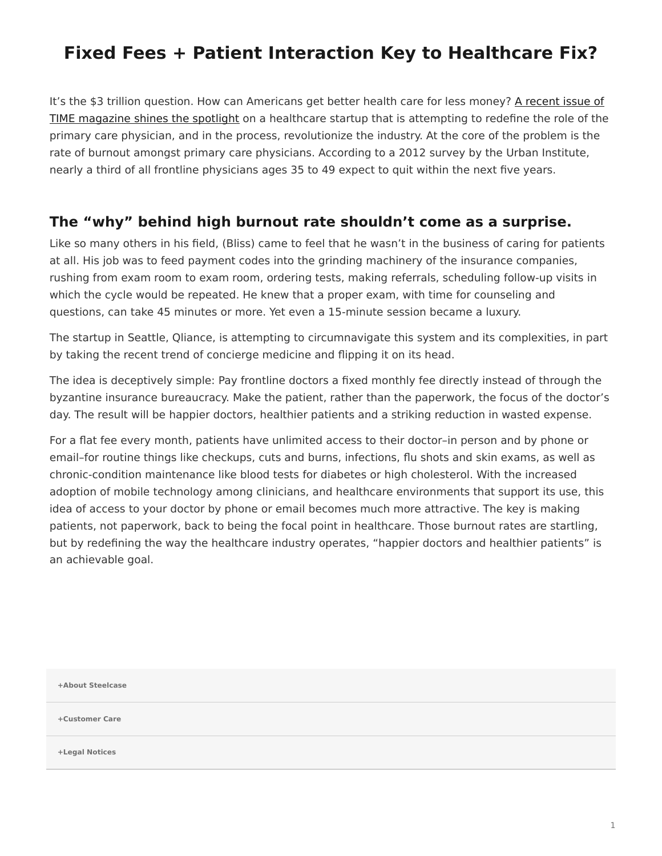## <span id="page-0-0"></span>**Fixed Fees + Patient Interaction Key to Healthcare Fix?**

It's the \$3 trillion question. How can Americans get better health care for less money? [A recent issue of](http://time.com/3643841/medicine-gets-personal/) [TIME magazine shines the spotlight](http://time.com/3643841/medicine-gets-personal/) on a healthcare startup that is attempting to redefine the role of the primary care physician, and in the process, revolutionize the industry. At the core of the problem is the rate of burnout amongst primary care physicians. According to a 2012 survey by the Urban Institute, nearly a third of all frontline physicians ages 35 to 49 expect to quit within the next five years.

## **The "why" behind high burnout rate shouldn't come as a surprise.**

Like so many others in his field, (Bliss) came to feel that he wasn't in the business of caring for patients at all. His job was to feed payment codes into the grinding machinery of the insurance companies, rushing from exam room to exam room, ordering tests, making referrals, scheduling follow-up visits in which the cycle would be repeated. He knew that a proper exam, with time for counseling and questions, can take 45 minutes or more. Yet even a 15-minute session became a luxury.

The startup in Seattle, Qliance, is attempting to circumnavigate this system and its complexities, in part by taking the recent trend of concierge medicine and flipping it on its head.

The idea is deceptively simple: Pay frontline doctors a fixed monthly fee directly instead of through the byzantine insurance bureaucracy. Make the patient, rather than the paperwork, the focus of the doctor's day. The result will be happier doctors, healthier patients and a striking reduction in wasted expense.

For a flat fee every month, patients have unlimited access to their doctor–in person and by phone or email–for routine things like checkups, cuts and burns, infections, flu shots and skin exams, as well as chronic-condition maintenance like blood tests for diabetes or high cholesterol. With the increased adoption of mobile technology among clinicians, and healthcare environments that support its use, this idea of access to your doctor by phone or email becomes much more attractive. The key is making patients, not paperwork, back to being the focal point in healthcare. Those burnout rates are startling, but by redefining the way the healthcare industry operates, "happier doctors and healthier patients" is an achievable goal.

**[+About Steelcase](https://www.steelcase.com/discover/steelcase/our-company/)**

**[+Customer Care](#page-0-0)**

**[+Legal Notices](#page-0-0)**